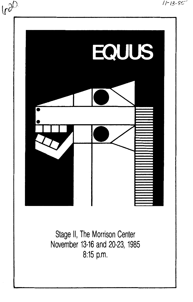

Stage II, The Morrison Center November 13-16 and 20-23, 1985 8:15 p.m.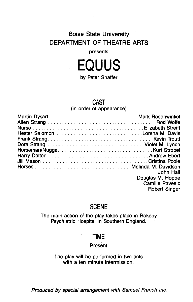# Boise State University DEPARTMENT OF THEATRE ARTS

## presents



by Peter Shaffer

## CAST

(in order of appearance)

| Jill Mason Cristina Poole | John Hall<br>Douglas M. Hoppe           |
|---------------------------|-----------------------------------------|
|                           | <b>Camille Pavesic</b><br>Robert Singer |

# **SCENE**

The main action of the play takes place in Rokeby Psychiatric Hospital in Southern England.

# TIME

## Present

The play will be performed in two acts with a ten minute intermission.

Produced by special arrangement with Samuel French Inc.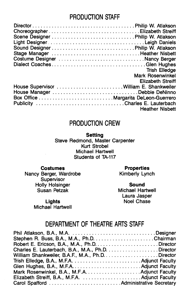# PRODUCTION STAFF

| ChoreographerElizabeth Streiff           |                        |
|------------------------------------------|------------------------|
|                                          |                        |
|                                          |                        |
|                                          |                        |
|                                          |                        |
| Costume Designer Nancy Berger            |                        |
| Dialect CoachesGlen Hughes               |                        |
|                                          | <b>Trish Elledge</b>   |
|                                          | Mark Rosenwinkel       |
|                                          | Elizabeth Streiff      |
| House Supervisor  William E. Shankweiler |                        |
| House Manager Debbie DeNinno             |                        |
|                                          |                        |
|                                          |                        |
|                                          | <b>Heather Nisbett</b> |
|                                          |                        |

# PRODUCTION CREW

## **Setting**

Steve Redmond, Master Carpenter Kurt Strobel Michael Hartwell Students of TA-117

### Costumes

Nancy Berger, Wardrobe **Supervisor** Holly Holsinger Susan Petzak

Properties Kimberly Lynch

Sound Michael Hartwell Laura Jasper

Noel Chase

Lights Michael Hartwell

# DEPARTMENT OF THEATRE ARTS STAFF

| Charles E. Lauterbach, B.A., M.A., Ph.D. Director |  |
|---------------------------------------------------|--|
|                                                   |  |
|                                                   |  |
|                                                   |  |
|                                                   |  |
|                                                   |  |
|                                                   |  |
|                                                   |  |